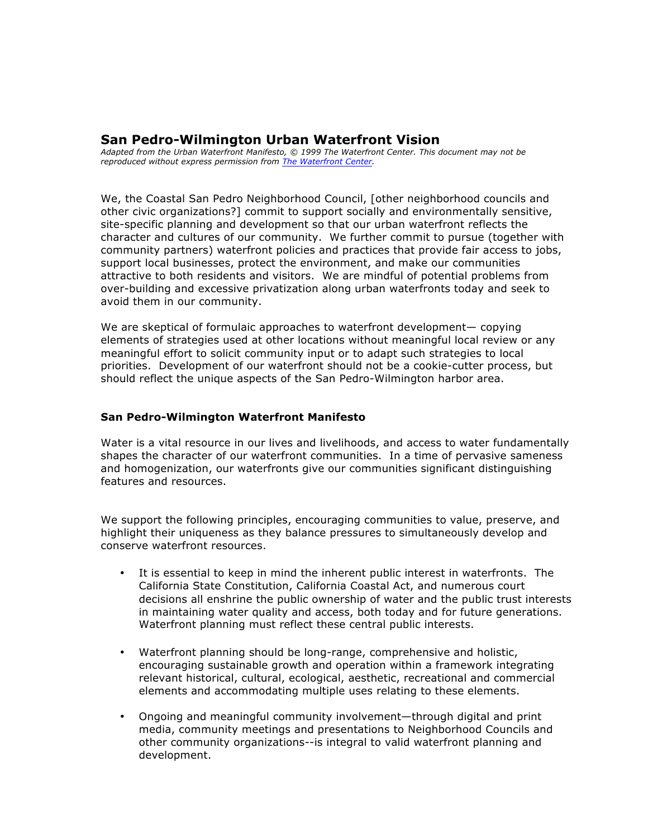## **San Pedro-Wilmington Urban Waterfront Vision**

*Adapted from the Urban Waterfront Manifesto, © 1999 The Waterfront Center. This document may not be reproduced without express permission from The Waterfront Center.* 

We, the Coastal San Pedro Neighborhood Council, [other neighborhood councils and other civic organizations?] commit to support socially and environmentally sensitive, site-specific planning and development so that our urban waterfront reflects the character and cultures of our community. We further commit to pursue (together with community partners) waterfront policies and practices that provide fair access to jobs, support local businesses, protect the environment, and make our communities attractive to both residents and visitors. We are mindful of potential problems from over-building and excessive privatization along urban waterfronts today and seek to avoid them in our community.

We are skeptical of formulaic approaches to waterfront development— copying elements of strategies used at other locations without meaningful local review or any meaningful effort to solicit community input or to adapt such strategies to local priorities. Development of our waterfront should not be a cookie-cutter process, but should reflect the unique aspects of the San Pedro-Wilmington harbor area.

## **San Pedro-Wilmington Waterfront Manifesto**

Water is a vital resource in our lives and livelihoods, and access to water fundamentally shapes the character of our waterfront communities. In a time of pervasive sameness and homogenization, our waterfronts give our communities significant distinguishing features and resources.

We support the following principles, encouraging communities to value, preserve, and highlight their uniqueness as they balance pressures to simultaneously develop and conserve waterfront resources.

- It is essential to keep in mind the inherent public interest in waterfronts. The California State Constitution, California Coastal Act, and numerous court decisions all enshrine the public ownership of water and the public trust interests in maintaining water quality and access, both today and for future generations. Waterfront planning must reflect these central public interests.
- Waterfront planning should be long-range, comprehensive and holistic, encouraging sustainable growth and operation within a framework integrating relevant historical, cultural, ecological, aesthetic, recreational and commercial elements and accommodating multiple uses relating to these elements.
- Ongoing and meaningful community involvement—through digital and print media, community meetings and presentations to Neighborhood Councils and other community organizations--is integral to valid waterfront planning and development.